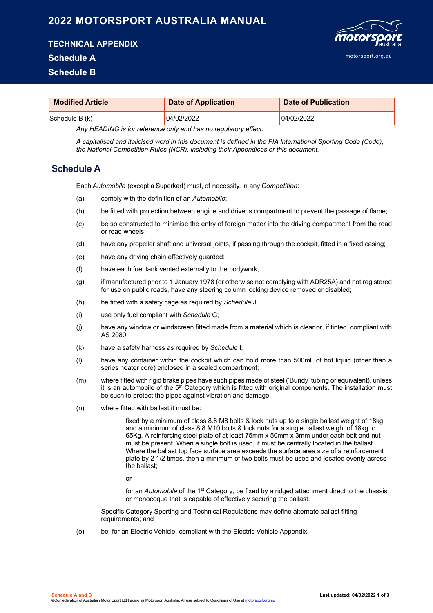## **2022 MOTORSPORT AUSTRALIA MANUAL**

**TECHNICAL APPENDIX**

## **Schedule A**

**Schedule B**



| <b>Modified Article</b> | <b>Date of Application</b> | Date of Publication |
|-------------------------|----------------------------|---------------------|
| $S$ chedule B $(k)$     | 04/02/2022                 | 04/02/2022          |

*Any HEADING is for reference only and has no regulatory effect.*

*A capitalised and italicised word in this document is defined in the FIA International Sporting Code (Code), the National Competition Rules (NCR), including their Appendices or this document.*

## **Schedule A**

Each *Automobile* (except a Superkart) must, of necessity, in any *Competition*:

- (a) comply with the definition of an *Automobile*;
- (b) be fitted with protection between engine and driver's compartment to prevent the passage of flame;
- (c) be so constructed to minimise the entry of foreign matter into the driving compartment from the road or road wheels;
- (d) have any propeller shaft and universal joints, if passing through the cockpit, fitted in a fixed casing;
- (e) have any driving chain effectively guarded;
- (f) have each fuel tank vented externally to the bodywork;
- (g) if manufactured prior to 1 January 1978 (or otherwise not complying with ADR25A) and not registered for use on public roads, have any steering column locking device removed or disabled;
- (h) be fitted with a safety cage as required by *Schedule* J;
- (i) use only fuel compliant with *Schedule* G;
- (j) have any window or windscreen fitted made from a material which is clear or, if tinted, compliant with AS 2080;
- (k) have a safety harness as required by *Schedule* I;
- (l) have any container within the cockpit which can hold more than 500mL of hot liquid (other than a series heater core) enclosed in a sealed compartment;
- (m) where fitted with rigid brake pipes have such pipes made of steel ('Bundy' tubing or equivalent), unless it is an automobile of the  $5<sup>th</sup>$  Category which is fitted with original components. The installation must be such to protect the pipes against vibration and damage;
- (n) where fitted with ballast it must be:

fixed by a minimum of class 8.8 M8 bolts & lock nuts up to a single ballast weight of 18kg and a minimum of class 8.8 M10 bolts & lock nuts for a single ballast weight of 18kg to 65Kg. A reinforcing steel plate of at least 75mm x 50mm x 3mm under each bolt and nut must be present. When a single bolt is used, it must be centrally located in the ballast. Where the ballast top face surface area exceeds the surface area size of a reinforcement plate by 2 1/2 times, then a minimum of two bolts must be used and located evenly across the ballast;

or

for an *Automobile* of the 1st Category, be fixed by a ridged attachment direct to the chassis or monocoque that is capable of effectively securing the ballast.

Specific Category Sporting and Technical Regulations may define alternate ballast fitting requirements; and

(o) be, for an Electric Vehicle, compliant with the Electric Vehicle Appendix.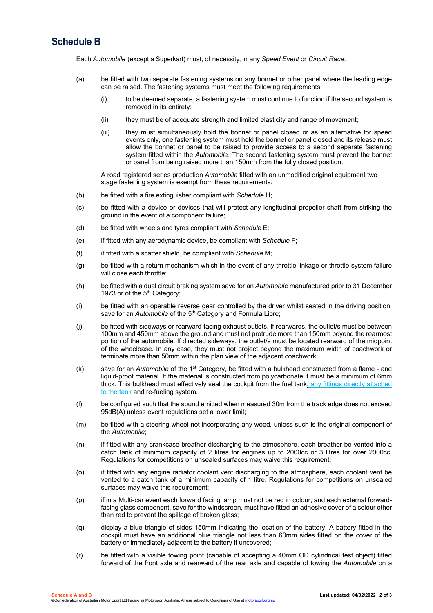## **Schedule B**

Each *Automobile* (except a Superkart) must, of necessity, in any *Speed Event* or *Circuit Race*:

- (a) be fitted with two separate fastening systems on any bonnet or other panel where the leading edge can be raised. The fastening systems must meet the following requirements:
	- (i) to be deemed separate, a fastening system must continue to function if the second system is removed in its entirety;
	- (ii) they must be of adequate strength and limited elasticity and range of movement;
	- (iii) they must simultaneously hold the bonnet or panel closed or as an alternative for speed events only, one fastening system must hold the bonnet or panel closed and its release must allow the bonnet or panel to be raised to provide access to a second separate fastening system fitted within the *Automobile*. The second fastening system must prevent the bonnet or panel from being raised more than 150mm from the fully closed position.

A road registered series production *Automobile* fitted with an unmodified original equipment two stage fastening system is exempt from these requirements.

- (b) be fitted with a fire extinguisher compliant with *Schedule* H;
- (c) be fitted with a device or devices that will protect any longitudinal propeller shaft from striking the ground in the event of a component failure;
- (d) be fitted with wheels and tyres compliant with *Schedule* E;
- (e) if fitted with any aerodynamic device, be compliant with *Schedule* F;
- (f) if fitted with a scatter shield, be compliant with *Schedule* M;
- (g) be fitted with a return mechanism which in the event of any throttle linkage or throttle system failure will close each throttle;
- (h) be fitted with a dual circuit braking system save for an *Automobile* manufactured prior to 31 December 1973 or of the 5<sup>th</sup> Category;
- (i) be fitted with an operable reverse gear controlled by the driver whilst seated in the driving position, save for an *Automobile* of the 5<sup>th</sup> Category and Formula Libre;
- (j) be fitted with sideways or rearward-facing exhaust outlets. If rearwards, the outlet/s must be between 100mm and 450mm above the ground and must not protrude more than 150mm beyond the rearmost portion of the automobile. If directed sideways, the outlet/s must be located rearward of the midpoint of the wheelbase. In any case, they must not project beyond the maximum width of coachwork or terminate more than 50mm within the plan view of the adjacent coachwork;
- (k) save for an *Automobile* of the 1st Category, be fitted with a bulkhead constructed from a flame and liquid-proof material. If the material is constructed from polycarbonate it must be a minimum of 6mm thick. This bulkhead must effectively seal the cockpit from the fuel tank, any fittings directly attached to the tank and re-fueling system.
- (l) be configured such that the sound emitted when measured 30m from the track edge does not exceed 95dB(A) unless event regulations set a lower limit;
- (m) be fitted with a steering wheel not incorporating any wood, unless such is the original component of the *Automobile*;
- (n) if fitted with any crankcase breather discharging to the atmosphere, each breather be vented into a catch tank of minimum capacity of 2 litres for engines up to 2000cc or 3 litres for over 2000cc. Regulations for competitions on unsealed surfaces may waive this requirement;
- (o) if fitted with any engine radiator coolant vent discharging to the atmosphere, each coolant vent be vented to a catch tank of a minimum capacity of 1 litre. Regulations for competitions on unsealed surfaces may waive this requirement;
- (p) if in a Multi-car event each forward facing lamp must not be red in colour, and each external forwardfacing glass component, save for the windscreen, must have fitted an adhesive cover of a colour other than red to prevent the spillage of broken glass;
- (q) display a blue triangle of sides 150mm indicating the location of the battery. A battery fitted in the cockpit must have an additional blue triangle not less than 60mm sides fitted on the cover of the battery or immediately adjacent to the battery if uncovered;
- (r) be fitted with a visible towing point (capable of accepting a 40mm OD cylindrical test object) fitted forward of the front axle and rearward of the rear axle and capable of towing the *Automobile* on a